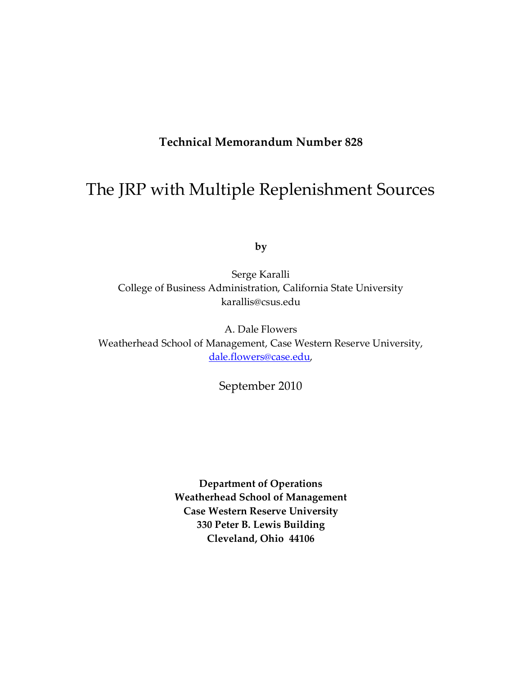# **Technical Memorandum Number 828**

# The JRP with Multiple Replenishment Sources

**by**

Serge Karalli College of Business Administration, California State University karallis@csus.edu

A. Dale Flowers Weatherhead School of Management, Case Western Reserve University, [dale.flowers@case.edu,](mailto:dale.flowers@case.edu)

September 2010

**Department of Operations Weatherhead School of Management Case Western Reserve University 330 Peter B. Lewis Building Cleveland, Ohio 44106**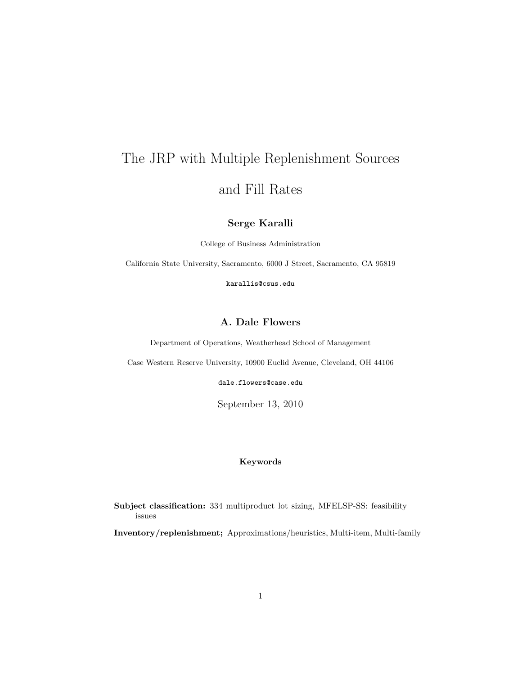# The JRP with Multiple Replenishment Sources and Fill Rates

# **Serge Karalli**

College of Business Administration

California State University, Sacramento, 6000 J Street, Sacramento, CA 95819

karallis@csus.edu

# **A. Dale Flowers**

Department of Operations, Weatherhead School of Management

Case Western Reserve University, 10900 Euclid Avenue, Cleveland, OH 44106

dale.flowers@case.edu

September 13, 2010

## **Keywords**

**Subject classification:** 334 multiproduct lot sizing, MFELSP-SS: feasibility issues

**Inventory/replenishment;** Approximations/heuristics, Multi-item, Multi-family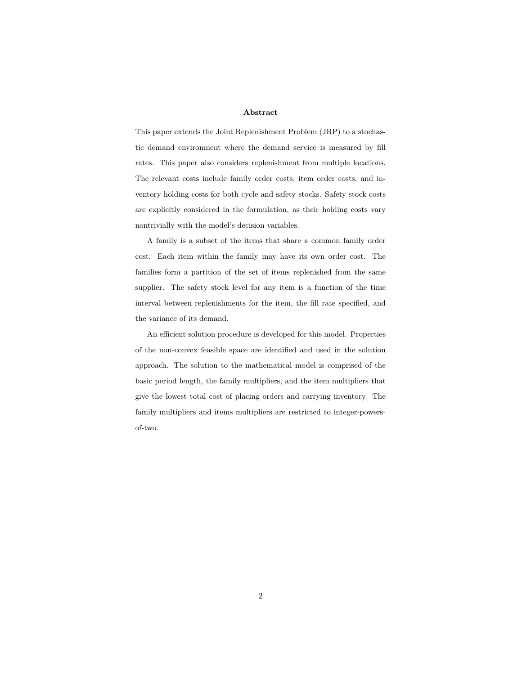#### **Abstract**

This paper extends the Joint Replenishment Problem (JRP) to a stochastic demand environment where the demand service is measured by fill rates. This paper also considers replenishment from multiple locations. The relevant costs include family order costs, item order costs, and inventory holding costs for both cycle and safety stocks. Safety stock costs are explicitly considered in the formulation, as their holding costs vary nontrivially with the model's decision variables.

A family is a subset of the items that share a common family order cost. Each item within the family may have its own order cost. The families form a partition of the set of items replenished from the same supplier. The safety stock level for any item is a function of the time interval between replenishments for the item, the fill rate specified, and the variance of its demand.

An efficient solution procedure is developed for this model. Properties of the non-convex feasible space are identified and used in the solution approach. The solution to the mathematical model is comprised of the basic period length, the family multipliers, and the item multipliers that give the lowest total cost of placing orders and carrying inventory. The family multipliers and items multipliers are restricted to integer-powersof-two.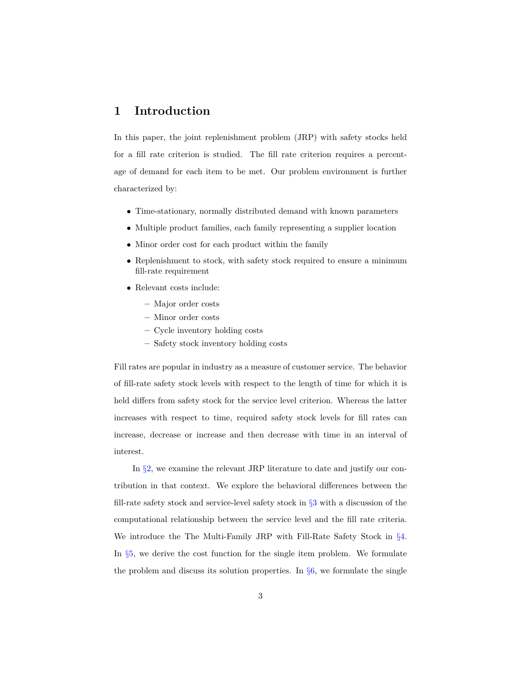# **1 Introduction**

In this paper, the joint replenishment problem (JRP) with safety stocks held for a fill rate criterion is studied. The fill rate criterion requires a percentage of demand for each item to be met. Our problem environment is further characterized by:

- *•* Time-stationary, normally distributed demand with known parameters
- *•* Multiple product families, each family representing a supplier location
- Minor order cost for each product within the family
- Replenishment to stock, with safety stock required to ensure a minimum fill-rate requirement
- *•* Relevant costs include:
	- **–** Major order costs
	- **–** Minor order costs
	- **–** Cycle inventory holding costs
	- **–** Safety stock inventory holding costs

Fill rates are popular in industry as a measure of customer service. The behavior of fill-rate safety stock levels with respect to the length of time for which it is held differs from safety stock for the service level criterion. Whereas the latter increases with respect to time, required safety stock levels for fill rates can increase, decrease or increase and then decrease with time in an interval of interest.

In *§*[2,](#page-4-0) we examine the relevant JRP literature to date and justify our contribution in that context. We explore the behavioral differences between the fill-rate safety stock and service-level safety stock in *§*[3](#page-7-0) with a discussion of the computational relationship between the service level and the fill rate criteria. We introduce the The Multi-Family JRP with Fill-Rate Safety Stock in *§*[4.](#page-17-0) In  $\S5$ , we derive the cost function for the single item problem. We formulate the problem and discuss its solution properties. In *§*[6,](#page-26-0) we formulate the single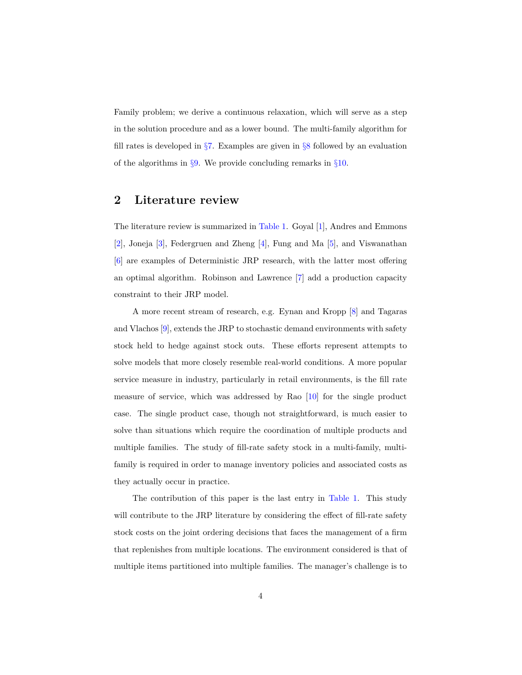Family problem; we derive a continuous relaxation, which will serve as a step in the solution procedure and as a lower bound. The multi-family algorithm for fill rates is developed in *§*[7.](#page-31-0) Examples are given in *§*[8](#page-33-0) followed by an evaluation of the algorithms in *§*[9.](#page-36-0) We provide concluding remarks in *§*[10.](#page-38-0)

# <span id="page-4-0"></span>**2 Literature review**

The literature review is summarized in [Table 1.](#page-6-0) Goyal [\[1\]](#page-38-1), Andres and Emmons [\[2\]](#page-38-2), Joneja [\[3\]](#page-38-3), Federgruen and Zheng [\[4\]](#page-38-4), Fung and Ma [\[5\]](#page-38-5), and Viswanathan [\[6\]](#page-38-6) are examples of Deterministic JRP research, with the latter most offering an optimal algorithm. Robinson and Lawrence [\[7\]](#page-38-7) add a production capacity constraint to their JRP model.

A more recent stream of research, e.g. Eynan and Kropp [\[8\]](#page-39-0) and Tagaras and Vlachos [\[9\]](#page-39-1), extends the JRP to stochastic demand environments with safety stock held to hedge against stock outs. These efforts represent attempts to solve models that more closely resemble real-world conditions. A more popular service measure in industry, particularly in retail environments, is the fill rate measure of service, which was addressed by Rao [\[10\]](#page-39-2) for the single product case. The single product case, though not straightforward, is much easier to solve than situations which require the coordination of multiple products and multiple families. The study of fill-rate safety stock in a multi-family, multifamily is required in order to manage inventory policies and associated costs as they actually occur in practice.

The contribution of this paper is the last entry in [Table 1.](#page-6-0) This study will contribute to the JRP literature by considering the effect of fill-rate safety stock costs on the joint ordering decisions that faces the management of a firm that replenishes from multiple locations. The environment considered is that of multiple items partitioned into multiple families. The manager's challenge is to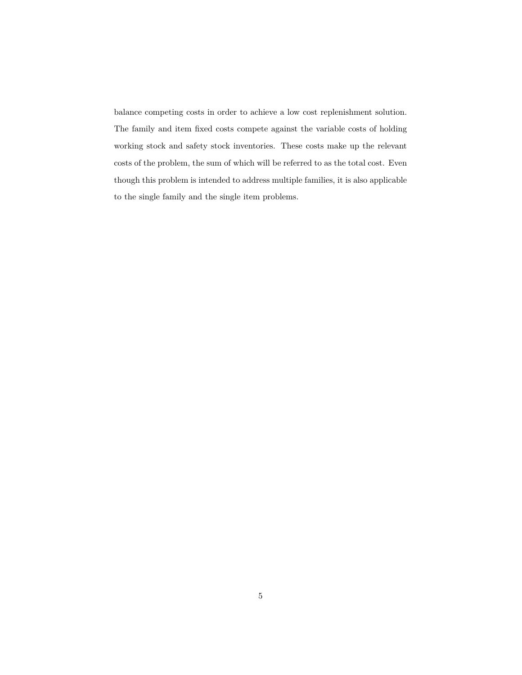balance competing costs in order to achieve a low cost replenishment solution. The family and item fixed costs compete against the variable costs of holding working stock and safety stock inventories. These costs make up the relevant costs of the problem, the sum of which will be referred to as the total cost. Even though this problem is intended to address multiple families, it is also applicable to the single family and the single item problems.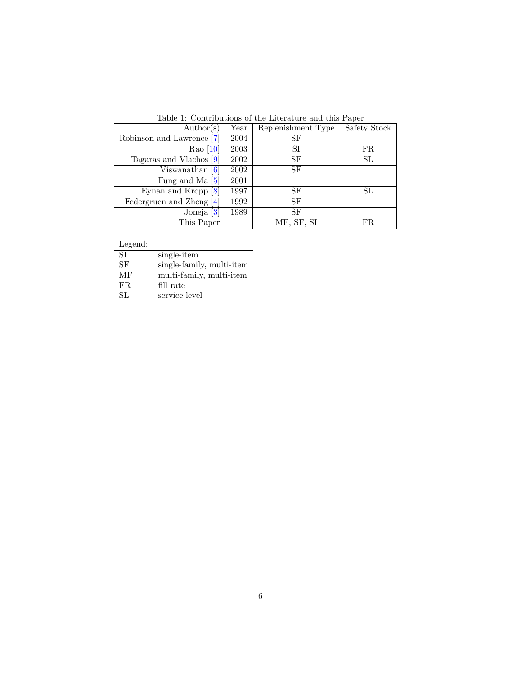| $\text{Author}(s)$         | Year | Replenishment Type | Safety Stock |
|----------------------------|------|--------------------|--------------|
| Robinson and Lawrence [7]  | 2004 | SF                 |              |
| Rao $[10]$                 | 2003 | SI                 | FR.          |
| Tagaras and Vlachos [9]    | 2002 | <b>SF</b>          | SL           |
| Viswanathan $[6]$          | 2002 | SF                 |              |
| Fung and Ma $[5]$          | 2001 |                    |              |
| Eynan and Kropp $[8]$      | 1997 | SF                 | SL           |
| Federgruen and Zheng $[4]$ | 1992 | SF                 |              |
| Joneja $[3]$               | 1989 | SF                 |              |
| This Paper                 |      | MF, SF, SI         | FR           |

<span id="page-6-0"></span>Table 1: Contributions of the Literature and this Paper

Legend:

| <b>SI</b> | single-item               |
|-----------|---------------------------|
| SF        | single-family, multi-item |
| МF        | multi-family, multi-item  |
| FR.       | fill rate                 |
| SL.       | service level             |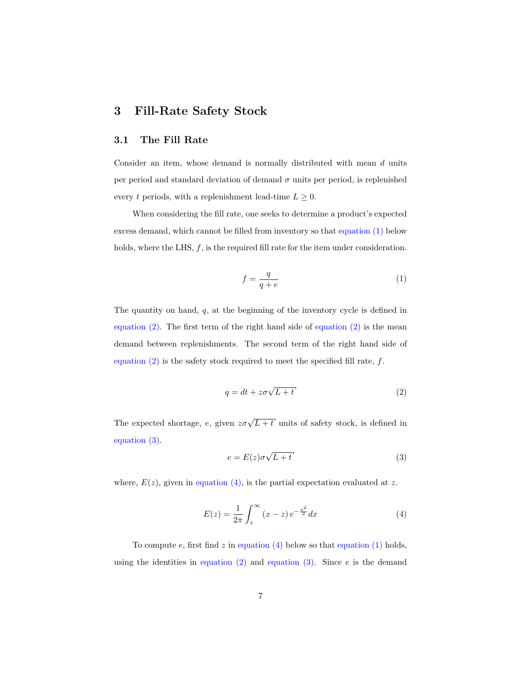# <span id="page-7-0"></span>**3 Fill-Rate Safety Stock**

# **3.1 The Fill Rate**

Consider an item, whose demand is normally distributed with mean *d* units per period and standard deviation of demand  $\sigma$  units per period, is replenished every *t* periods, with a replenishment lead-time  $L \geq 0$ .

When considering the fill rate, one seeks to determine a product's expected excess demand, which cannot be filled from inventory so that [equation \(1\)](#page-7-1) below holds, where the LHS,  $f$ , is the required fill rate for the item under consideration.

<span id="page-7-1"></span>
$$
f = \frac{q}{q + e} \tag{1}
$$

The quantity on hand, *q*, at the beginning of the inventory cycle is defined in equation  $(2)$ . The first term of the right hand side of equation  $(2)$  is the mean demand between replenishments. The second term of the right hand side of [equation \(2\)](#page-7-2) is the safety stock required to meet the specified fill rate, *f*.

<span id="page-7-2"></span>
$$
q = dt + z\sigma\sqrt{L+t} \tag{2}
$$

The expected shortage, *e*, given  $z\sigma\sqrt{L+t}$  units of safety stock, is defined in [equation \(3\).](#page-7-3)

<span id="page-7-3"></span>
$$
e = E(z)\sigma\sqrt{L+t} \tag{3}
$$

where,  $E(z)$ , given in [equation \(4\),](#page-7-4) is the partial expectation evaluated at  $z$ .

<span id="page-7-4"></span>
$$
E(z) = \frac{1}{2\pi} \int_{z}^{\infty} (x - z) e^{-\frac{x^2}{2}} dx
$$
 (4)

To compute *e*, first find *z* in [equation \(4\)](#page-7-4) below so that [equation \(1\)](#page-7-1) holds, using the identities in equation  $(2)$  and equation  $(3)$ . Since  $e$  is the demand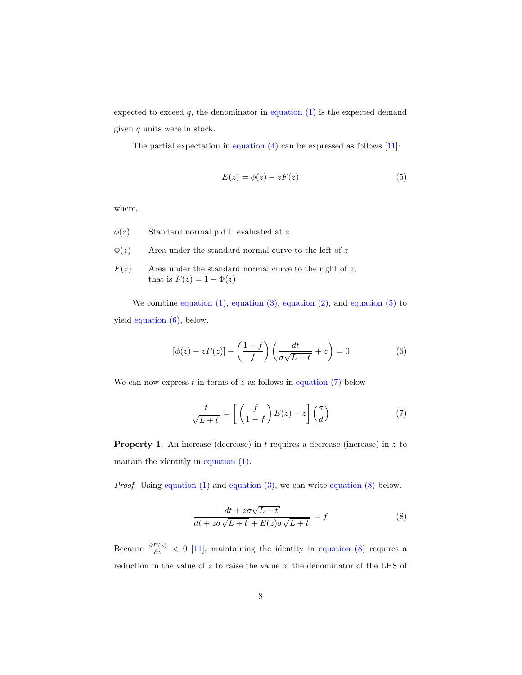expected to exceed  $q$ , the denominator in equation  $(1)$  is the expected demand given *q* units were in stock.

The partial expectation in [equation \(4\)](#page-7-4) can be expressed as follows [\[11\]](#page-39-3):

<span id="page-8-0"></span>
$$
E(z) = \phi(z) - zF(z) \tag{5}
$$

where,

- *φ*(*z*) Standard normal p.d.f. evaluated at *z*
- $\Phi(z)$  Area under the standard normal curve to the left of z
- $F(z)$  Area under the standard normal curve to the right of *z*; that is  $F(z) = 1 - \Phi(z)$

We combine equation  $(1)$ , equation  $(3)$ , equation  $(2)$ , and equation  $(5)$  to yield [equation \(6\),](#page-8-1) below.

<span id="page-8-1"></span>
$$
[\phi(z) - zF(z)] - \left(\frac{1-f}{f}\right)\left(\frac{dt}{\sigma\sqrt{L+t}} + z\right) = 0\tag{6}
$$

We can now express  $t$  in terms of  $z$  as follows in equation  $(7)$  below

<span id="page-8-2"></span>
$$
\frac{t}{\sqrt{L+t}} = \left[ \left( \frac{f}{1-f} \right) E(z) - z \right] \left( \frac{\sigma}{d} \right) \tag{7}
$$

**Property 1.** An increase (decrease) in *t* requires a decrease (increase) in *z* to maitain the identitly in [equation \(1\).](#page-7-1)

*Proof.* Using [equation \(1\)](#page-7-1) and [equation \(3\),](#page-7-3) we can write [equation \(8\)](#page-8-3) below.

<span id="page-8-3"></span>
$$
\frac{dt + z\sigma\sqrt{L+t}}{dt + z\sigma\sqrt{L+t} + E(z)\sigma\sqrt{L+t}} = f
$$
\n(8)

Because  $\frac{\partial E(z)}{\partial z}$  < 0 [\[11\]](#page-39-3), maintaining the identity in [equation \(8\)](#page-8-3) requires a reduction in the value of *z* to raise the value of the denominator of the LHS of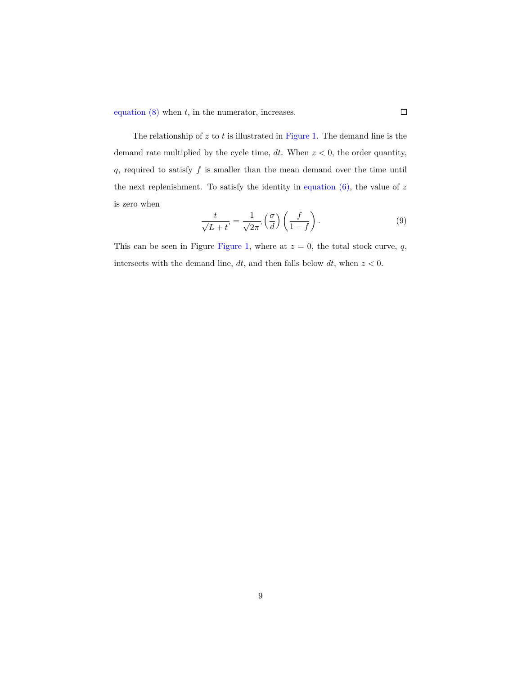[equation \(8\)](#page-8-3) when *t*, in the numerator, increases.

The relationship of *z* to *t* is illustrated in [Figure 1.](#page-10-0) The demand line is the demand rate multiplied by the cycle time, *dt*. When *z <* 0, the order quantity, *q*, required to satisfy *f* is smaller than the mean demand over the time until the next replenishment. To satisfy the identity in [equation \(6\),](#page-8-1) the value of *z* is zero when

$$
\frac{t}{\sqrt{L+t}} = \frac{1}{\sqrt{2\pi}} \left(\frac{\sigma}{d}\right) \left(\frac{f}{1-f}\right). \tag{9}
$$

 $\Box$ 

This can be seen in Figure [Figure 1,](#page-10-0) where at  $z = 0$ , the total stock curve,  $q$ , intersects with the demand line, *dt*, and then falls below *dt*, when *z <* 0.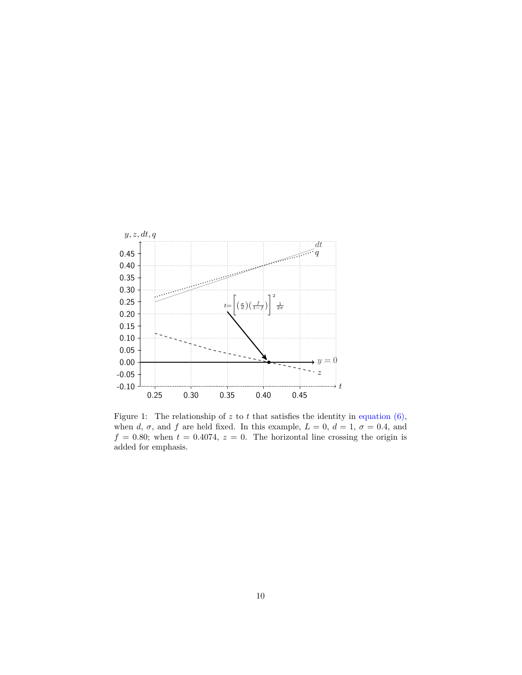

<span id="page-10-0"></span>Figure 1: The relationship of  $z$  to  $t$  that satisfies the identity in equation  $(6)$ , when *d*,  $\sigma$ , and *f* are held fixed. In this example,  $L = 0$ ,  $d = 1$ ,  $\sigma = 0.4$ , and  $f = 0.80$ ; when  $t = 0.4074$ ,  $z = 0$ . The horizontal line crossing the origin is added for emphasis.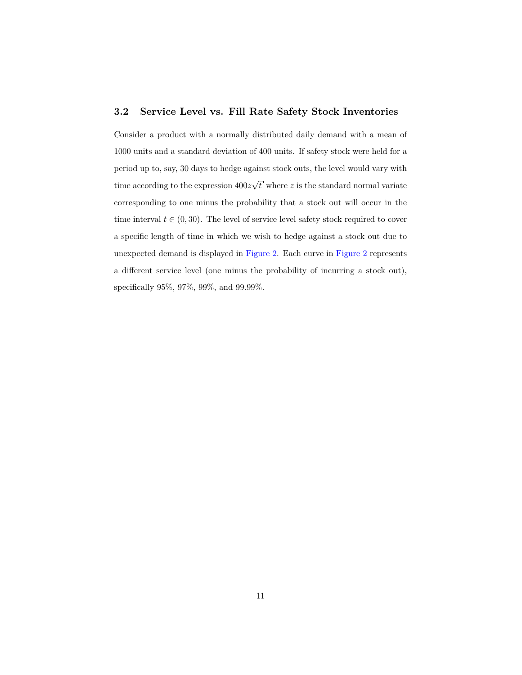# **3.2 Service Level vs. Fill Rate Safety Stock Inventories**

Consider a product with a normally distributed daily demand with a mean of 1000 units and a standard deviation of 400 units. If safety stock were held for a period up to, say, 30 days to hedge against stock outs, the level would vary with time according to the expression 400*z √ t* where *z* is the standard normal variate corresponding to one minus the probability that a stock out will occur in the time interval  $t \in (0, 30)$ . The level of service level safety stock required to cover a specific length of time in which we wish to hedge against a stock out due to unexpected demand is displayed in [Figure 2.](#page-12-0) Each curve in [Figure 2](#page-12-0) represents a different service level (one minus the probability of incurring a stock out), specifically 95%, 97%, 99%, and 99.99%.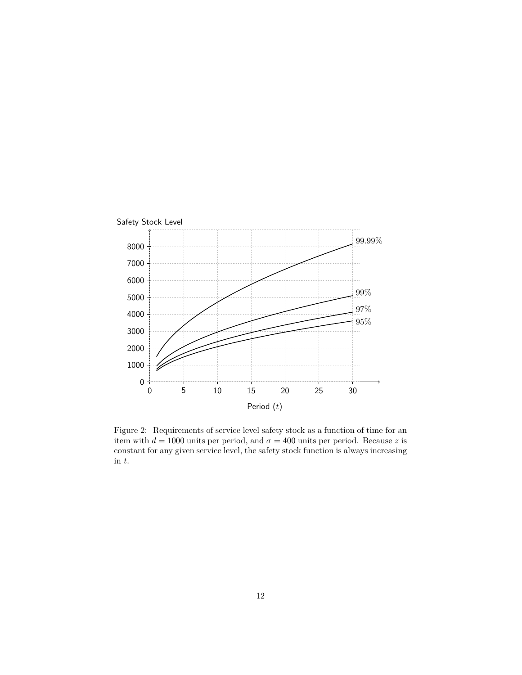

<span id="page-12-0"></span>Figure 2: Requirements of service level safety stock as a function of time for an item with  $d = 1000$  units per period, and  $\sigma = 400$  units per period. Because *z* is constant for any given service level, the safety stock function is always increasing in *t*.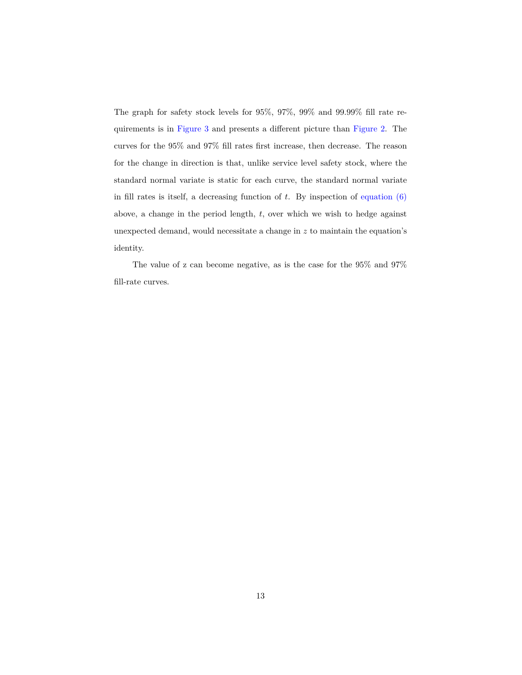The graph for safety stock levels for 95%, 97%, 99% and 99.99% fill rate requirements is in [Figure 3](#page-14-0) and presents a different picture than [Figure 2.](#page-12-0) The curves for the 95% and 97% fill rates first increase, then decrease. The reason for the change in direction is that, unlike service level safety stock, where the standard normal variate is static for each curve, the standard normal variate in fill rates is itself, a decreasing function of  $t$ . By inspection of equation  $(6)$ above, a change in the period length, *t*, over which we wish to hedge against unexpected demand, would necessitate a change in *z* to maintain the equation's identity.

The value of z can become negative, as is the case for the 95% and 97% fill-rate curves.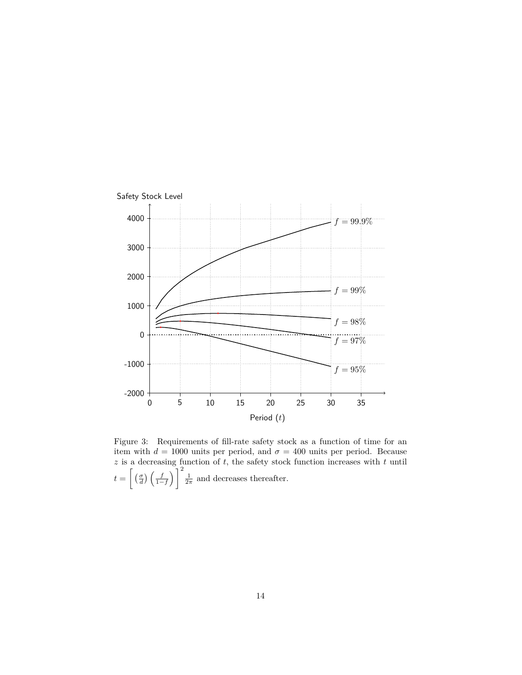

<span id="page-14-0"></span>Figure 3: Requirements of fill-rate safety stock as a function of time for an item with  $d = 1000$  units per period, and  $\sigma = 400$  units per period. Because *z* is a decreasing function of *t*, the safety stock function increases with *t* until  $t = \left[\left(\frac{\sigma}{d}\right)\left(\frac{f}{1-f}\right)\right]^2 \frac{1}{2\pi}$  and decreases thereafter.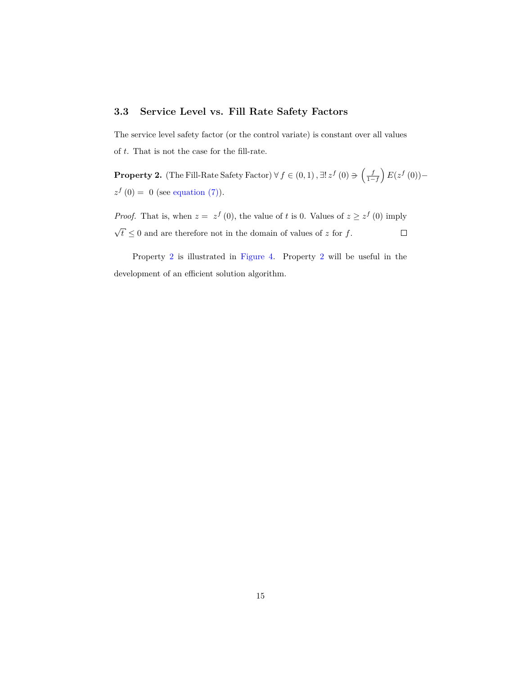# **3.3 Service Level vs. Fill Rate Safety Factors**

The service level safety factor (or the control variate) is constant over all values of *t*. That is not the case for the fill-rate.

<span id="page-15-0"></span>**Property 2.** (The Fill-Rate Safety Factor)  $\forall f \in (0,1)$ ,  $\exists ! z^f(0) \ni \left(\frac{f}{1-f}\right) E(z^f(0))$  $z^f(0) = 0$  (see [equation \(7\)\)](#page-8-2).

*Proof.* That is, when  $z = z^f(0)$ , the value of *t* is 0. Values of  $z \geq z^f(0)$  imply *√*  $\overline{t} \leq 0$  and are therefore not in the domain of values of *z* for *f*.  $\Box$ 

Property [2](#page-15-0) is illustrated in [Figure 4.](#page-16-0) Property [2](#page-15-0) will be useful in the development of an efficient solution algorithm.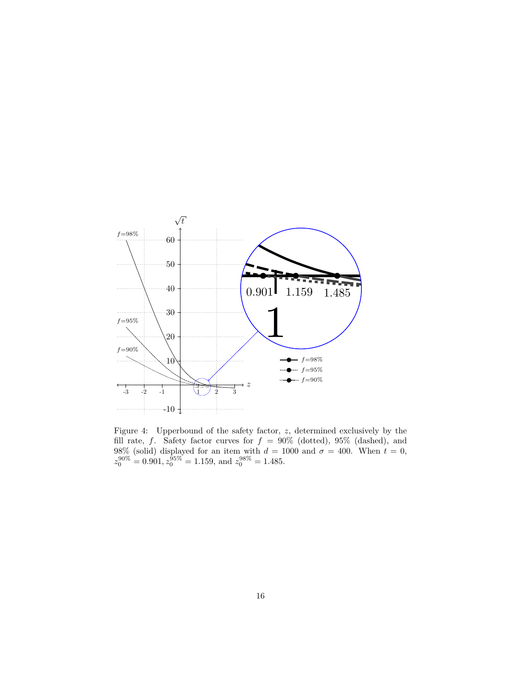

<span id="page-16-0"></span>Figure 4: Upperbound of the safety factor, *z*, determined exclusively by the fill rate, *f*. Safety factor curves for  $f = 90\%$  (dotted), 95% (dashed), and 98% (solid) displayed for an item with  $d = 1000$  and  $\sigma = 400$ . When  $t = 0$ ,  $z_0^{90\%} = 0.901, z_0^{95\%} = 1.159, \text{ and } z_0^{98\%} = 1.485.$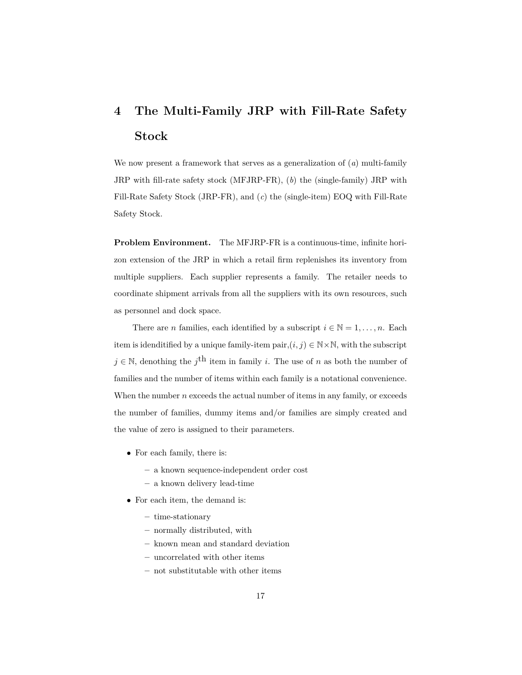# <span id="page-17-0"></span>**4 The Multi-Family JRP with Fill-Rate Safety Stock**

We now present a framework that serves as a generalization of (*a*) multi-family JRP with fill-rate safety stock (MFJRP-FR), (*b*) the (single-family) JRP with Fill-Rate Safety Stock (JRP-FR), and (*c*) the (single-item) EOQ with Fill-Rate Safety Stock.

**Problem Environment.** The MFJRP-FR is a continuous-time, infinite horizon extension of the JRP in which a retail firm replenishes its inventory from multiple suppliers. Each supplier represents a family. The retailer needs to coordinate shipment arrivals from all the suppliers with its own resources, such as personnel and dock space.

There are *n* families, each identified by a subscript  $i \in \mathbb{N} = 1, \ldots, n$ . Each item is idenditified by a unique family-item pair, $(i, j) \in \mathbb{N} \times \mathbb{N}$ , with the subscript *j* ∈ N, denothing the *j*<sup>th</sup> item in family *i*. The use of *n* as both the number of families and the number of items within each family is a notational convenience. When the number *n* exceeds the actual number of items in any family, or exceeds the number of families, dummy items and/or families are simply created and the value of zero is assigned to their parameters.

- *•* For each family, there is:
	- **–** a known sequence-independent order cost
	- **–** a known delivery lead-time
- *•* For each item, the demand is:
	- **–** time-stationary
	- **–** normally distributed, with
	- **–** known mean and standard deviation
	- **–** uncorrelated with other items
	- **–** not substitutable with other items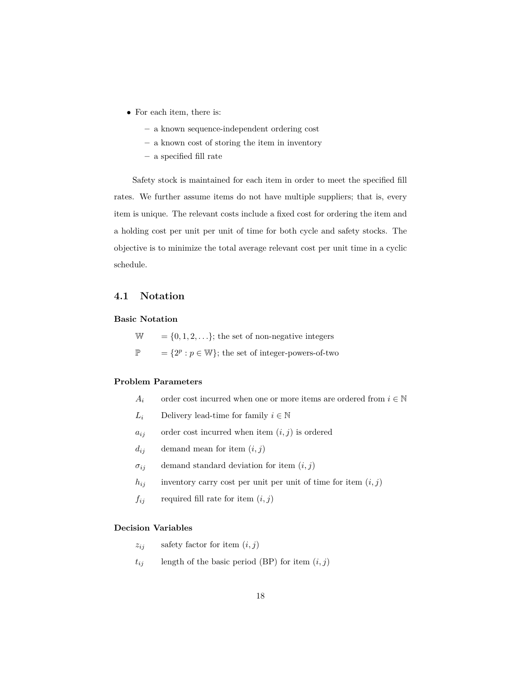- *•* For each item, there is:
	- **–** a known sequence-independent ordering cost
	- **–** a known cost of storing the item in inventory
	- **–** a specified fill rate

Safety stock is maintained for each item in order to meet the specified fill rates. We further assume items do not have multiple suppliers; that is, every item is unique. The relevant costs include a fixed cost for ordering the item and a holding cost per unit per unit of time for both cycle and safety stocks. The objective is to minimize the total average relevant cost per unit time in a cyclic schedule.

# **4.1 Notation**

#### **Basic Notation**

 $W = \{0, 1, 2, \ldots\};$  the set of non-negative integers

 $\mathbb{P}$  = { $2^p : p \in \mathbb{W}$ }; the set of integer-powers-of-two

#### **Problem Parameters**

- *A*<sup>*i*</sup> order cost incurred when one or more items are ordered from  $i \in \mathbb{N}$
- *L*<sup>*i*</sup> Delivery lead-time for family  $i \in \mathbb{N}$
- $a_{ij}$  order cost incurred when item  $(i, j)$  is ordered
- $d_{ij}$  demand mean for item  $(i, j)$
- $\sigma_{ij}$  demand standard deviation for item  $(i, j)$
- $h_{ij}$  inventory carry cost per unit per unit of time for item  $(i, j)$
- $f_{ij}$  required fill rate for item  $(i, j)$

#### **Decision Variables**

- $z_{ij}$  safety factor for item  $(i, j)$
- $t_{ij}$  length of the basic period (BP) for item  $(i, j)$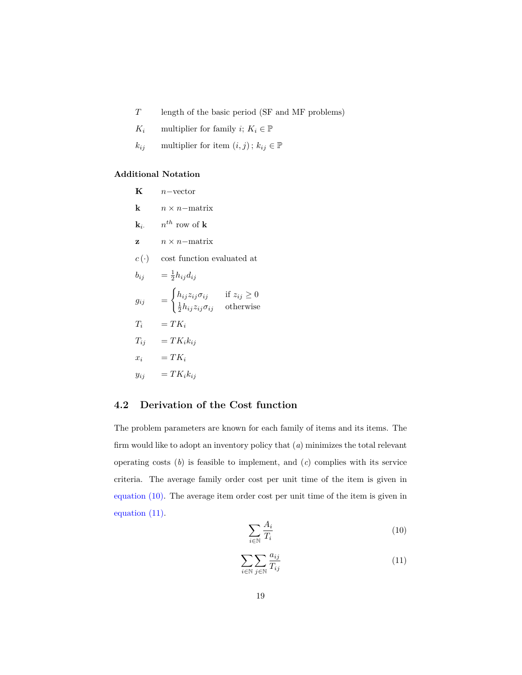- *T* length of the basic period (SF and MF problems)
- *K*<sup>*i*</sup> multiplier for family *i*;  $K_i \in \mathbb{P}$
- *k*<sub>ij</sub> multiplier for item  $(i, j)$ ;  $k_{ij} \in \mathbb{P}$

## **Additional Notation**

| K                | $n$ -vector                                                                              |                                 |
|------------------|------------------------------------------------------------------------------------------|---------------------------------|
| k                | $n \times n$ - matrix                                                                    |                                 |
| $\mathbf{k}_i$ . | $n^{th}$ row of <b>k</b>                                                                 |                                 |
| z                | $n \times n$ -matrix                                                                     |                                 |
| $c(\cdot)$       | cost function evaluated at                                                               |                                 |
| $b_{ij}$         | $=\frac{1}{2}h_{ij}d_{ij}$                                                               |                                 |
| $g_{ij}$         | $=\begin{cases} h_{ij}z_{ij}\sigma_{ij}\ \frac{1}{2}h_{ij}z_{ij}\sigma_{ij} \end{cases}$ | if $z_{ij} \geq 0$<br>otherwise |
| $T_i$            | $= TK_i$                                                                                 |                                 |
| $T_{ij}$         | $= TK_ik_{ii}$                                                                           |                                 |
| $x_i$            | $= TK_i$                                                                                 |                                 |
| $y_{ij}$         | $= TK_ik_{ii}$                                                                           |                                 |

# **4.2 Derivation of the Cost function**

The problem parameters are known for each family of items and its items. The firm would like to adopt an inventory policy that (*a*) minimizes the total relevant operating costs (*b*) is feasible to implement, and (*c*) complies with its service criteria. The average family order cost per unit time of the item is given in [equation \(10\).](#page-19-0) The average item order cost per unit time of the item is given in [equation \(11\).](#page-19-1)

<span id="page-19-0"></span>
$$
\sum_{i \in \mathbb{N}} \frac{A_i}{T_i} \tag{10}
$$

<span id="page-19-1"></span>
$$
\sum_{i \in \mathbb{N}} \sum_{j \in \mathbb{N}} \frac{a_{ij}}{T_{ij}} \tag{11}
$$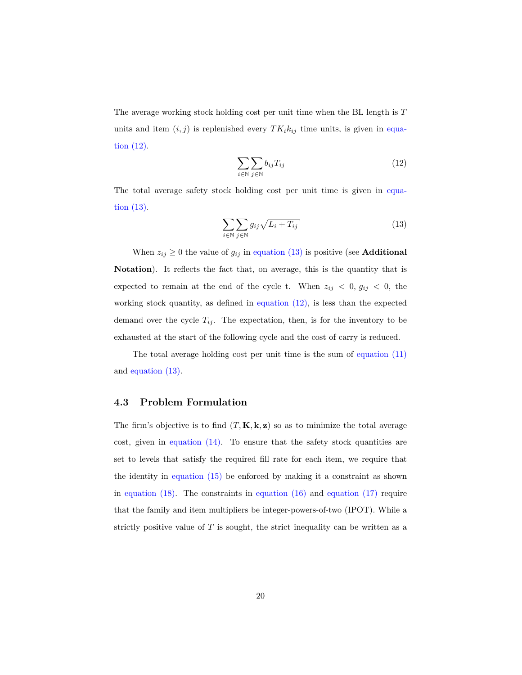The average working stock holding cost per unit time when the BL length is *T* units and item  $(i, j)$  is replenished every  $TK_i k_{ij}$  time units, is given in [equa](#page-20-0)[tion \(12\).](#page-20-0)

<span id="page-20-0"></span>
$$
\sum_{i \in \mathbb{N}} \sum_{j \in \mathbb{N}} b_{ij} T_{ij} \tag{12}
$$

The total average safety stock holding cost per unit time is given in [equa](#page-20-1)[tion \(13\).](#page-20-1)

<span id="page-20-1"></span>
$$
\sum_{i \in \mathbb{N}} \sum_{j \in \mathbb{N}} g_{ij} \sqrt{L_i + T_{ij}} \tag{13}
$$

When  $z_{ij} \geq 0$  the value of  $g_{ij}$  in [equation \(13\)](#page-20-1) is positive (see **Additional Notation**). It reflects the fact that, on average, this is the quantity that is expected to remain at the end of the cycle t. When  $z_{ij}$  < 0,  $g_{ij}$  < 0, the working stock quantity, as defined in [equation \(12\),](#page-20-0) is less than the expected demand over the cycle  $T_{ij}$ . The expectation, then, is for the inventory to be exhausted at the start of the following cycle and the cost of carry is reduced.

The total average holding cost per unit time is the sum of [equation \(11\)](#page-19-1) and [equation \(13\).](#page-20-1)

#### **4.3 Problem Formulation**

The firm's objective is to find  $(T, \mathbf{K}, \mathbf{k}, \mathbf{z})$  so as to minimize the total average cost, given in equation  $(14)$ . To ensure that the safety stock quantities are set to levels that satisfy the required fill rate for each item, we require that the identity in [equation \(15\)](#page-21-1) be enforced by making it a constraint as shown in equation  $(18)$ . The constraints in equation  $(16)$  and equation  $(17)$  require that the family and item multipliers be integer-powers-of-two (IPOT). While a strictly positive value of  $T$  is sought, the strict inequality can be written as a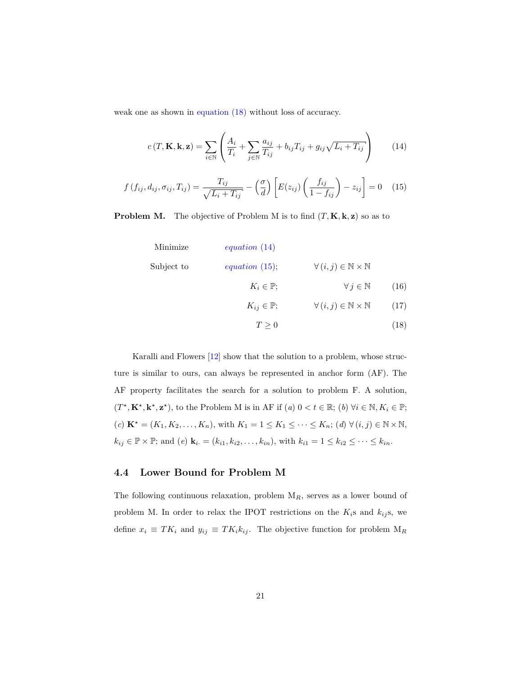weak one as shown in [equation \(18\)](#page-21-2) without loss of accuracy.

<span id="page-21-0"></span>
$$
c(T, \mathbf{K}, \mathbf{k}, \mathbf{z}) = \sum_{i \in \mathbb{N}} \left( \frac{A_i}{T_i} + \sum_{j \in \mathbb{N}} \frac{a_{ij}}{T_{ij}} + b_{ij} T_{ij} + g_{ij} \sqrt{L_i + T_{ij}} \right)
$$
(14)

<span id="page-21-1"></span>
$$
f(f_{ij}, d_{ij}, \sigma_{ij}, T_{ij}) = \frac{T_{ij}}{\sqrt{L_i + T_{ij}}} - \left(\frac{\sigma}{d}\right) \left[E(z_{ij}) \left(\frac{f_{ij}}{1 - f_{ij}}\right) - z_{ij}\right] = 0 \quad (15)
$$

**Problem M.** The objective of Problem M is to find  $(T, \mathbf{K}, \mathbf{k}, \mathbf{z})$  so as to

<span id="page-21-4"></span><span id="page-21-3"></span><span id="page-21-2"></span>

|                   |                                                   | equation $(14)$          | Minimize   |
|-------------------|---------------------------------------------------|--------------------------|------------|
|                   | $\forall (i, j) \in \mathbb{N} \times \mathbb{N}$ | equation $(15)$ ;        | Subject to |
| (16)              | $\forall j \in \mathbb{N}$                        | $K_i \in \mathbb{P};$    |            |
| (17)              | $\forall (i, j) \in \mathbb{N} \times \mathbb{N}$ | $K_{ij} \in \mathbb{P};$ |            |
| $\left(18\right)$ |                                                   | $T\geq 0$                |            |

Karalli and Flowers [\[12\]](#page-39-4) show that the solution to a problem, whose structure is similar to ours, can always be represented in anchor form (AF). The AF property facilitates the search for a solution to problem F. A solution,  $(T^*, \mathbf{K}^*, \mathbf{k}^*, \mathbf{z}^*)$ , to the Problem M is in AF if  $(a)$   $0 < t \in \mathbb{R}$ ;  $(b)$   $\forall i \in \mathbb{N}, K_i \in \mathbb{P}$ ;  $K^* = (K_1, K_2, \ldots, K_n)$ , with  $K_1 = 1 \leq K_1 \leq \cdots \leq K_n$ ;  $(d) \ \forall (i, j) \in \mathbb{N} \times \mathbb{N}$ ,  $k_{ij} \in \mathbb{P} \times \mathbb{P}$ ; and (e)  $\mathbf{k}_i = (k_{i1}, k_{i2}, \dots, k_{in})$ , with  $k_{i1} = 1 \leq k_{i2} \leq \dots \leq k_{in}$ .

### **4.4 Lower Bound for Problem M**

The following continuous relaxation, problem M*R*, serves as a lower bound of problem M. In order to relax the IPOT restrictions on the  $K_i$ s and  $k_{ij}$ s, we define  $x_i \equiv TK_i$  and  $y_{ij} \equiv TK_ik_{ij}$ . The objective function for problem  $M_R$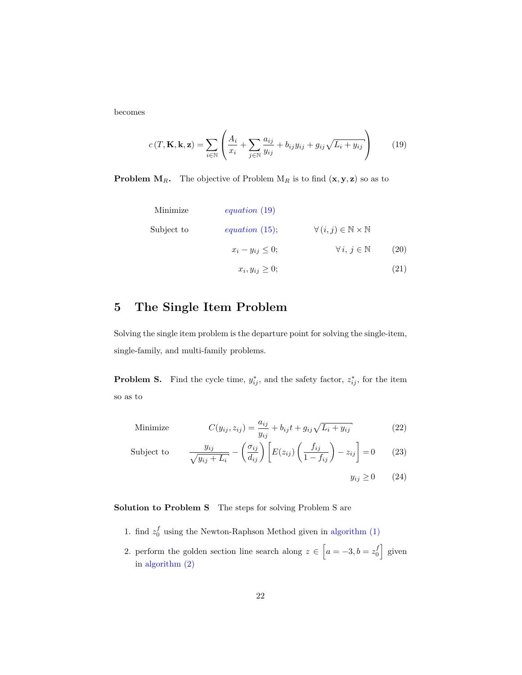becomes

<span id="page-22-1"></span>
$$
c(T, \mathbf{K}, \mathbf{k}, \mathbf{z}) = \sum_{i \in \mathbb{N}} \left( \frac{A_i}{x_i} + \sum_{j \in \mathbb{N}} \frac{a_{ij}}{y_{ij}} + b_{ij} y_{ij} + g_{ij} \sqrt{L_i + y_{ij}} \right) \tag{19}
$$

**Problem M***R***.** The objective of Problem M<sub>*R*</sub> is to find  $(\mathbf{x}, \mathbf{y}, \mathbf{z})$  so as to

Minimize  
\n
$$
equation (19)
$$
  
\nSubject to  
\n $equation (15); \quad \forall (i, j) \in \mathbb{N} \times \mathbb{N}$   
\n $x_i - y_{ij} \le 0; \quad \forall i, j \in \mathbb{N}$  (20)  
\n $x_i, y_{ij} \ge 0;$  (21)

# <span id="page-22-0"></span>**5 The Single Item Problem**

Solving the single item problem is the departure point for solving the single-item, single-family, and multi-family problems.

**Problem S.** Find the cycle time,  $y_{ij}^*$ , and the safety factor,  $z_{ij}^*$ , for the item so as to

Minimize 
$$
C(y_{ij}, z_{ij}) = \frac{a_{ij}}{y_{ij}} + b_{ij}t + g_{ij}\sqrt{L_i + y_{ij}}
$$
 (22)

Subject to 
$$
\frac{y_{ij}}{\sqrt{y_{ij} + L_i}} - \left(\frac{\sigma_{ij}}{d_{ij}}\right) \left[E(z_{ij})\left(\frac{f_{ij}}{1 - f_{ij}}\right) - z_{ij}\right] = 0 \quad (23)
$$

$$
y_{ij} \ge 0 \qquad (24)
$$

**Solution to Problem S** The steps for solving Problem S are

- 1. find  $z_0^f$  using the Newton-Raphson Method given in algorithm  $(1)$
- 2. perform the golden section line search along  $z \in \left[a = -3, b = z_0^f\right]$  given in [algorithm \(2\)](#page-25-0)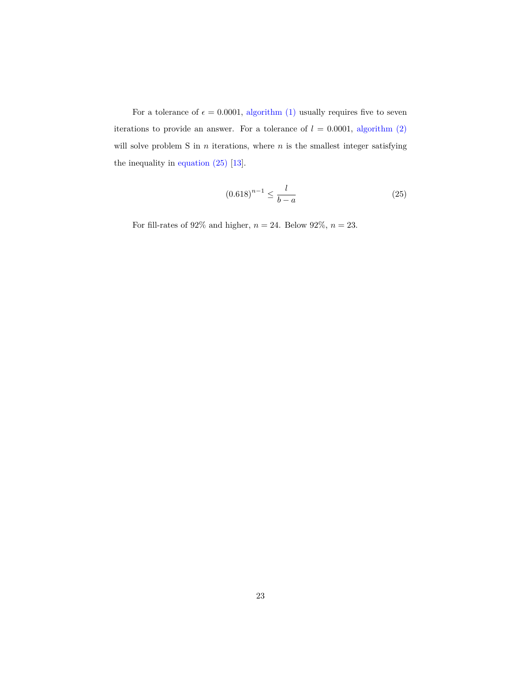For a tolerance of  $\epsilon = 0.0001$ , [algorithm \(1\)](#page-24-0) usually requires five to seven iterations to provide an answer. For a tolerance of  $l = 0.0001$ , algorithm  $(2)$ will solve problem S in  $n$  iterations, where  $n$  is the smallest integer satisfying the inequality in [equation \(25\)](#page-23-0) [\[13\]](#page-39-5).

<span id="page-23-0"></span>
$$
(0.618)^{n-1} \le \frac{l}{b-a} \tag{25}
$$

For fill-rates of  $92\%$  and higher,  $n=24.$  Below  $92\%,\, n=23.$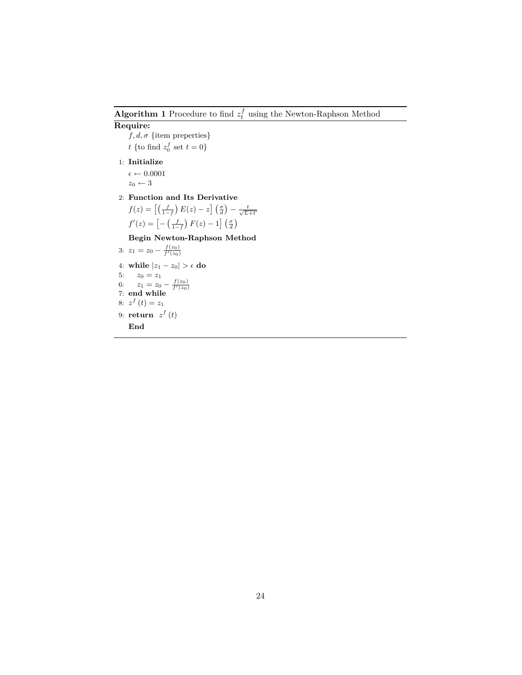<span id="page-24-0"></span>**Algorithm 1** Procedure to find  $z_t^f$  using the Newton-Raphson Method

#### **Require:**

 $f, d, \sigma$  {item preperties} *t* {to find  $z_0^f$  set  $t = 0$ }

1: **Initialize**

 $\epsilon \leftarrow 0.0001$  $z_0 \leftarrow 3$ 

2: **Function and Its Derivative**

$$
f(z) = \left[ \left( \frac{f}{1-f} \right) E(z) - z \right] \left( \frac{\sigma}{d} \right) - \frac{t}{\sqrt{L+t}}
$$

$$
f'(z) = \left[ -\left( \frac{f}{1-f} \right) F(z) - 1 \right] \left( \frac{\sigma}{d} \right)
$$

**Begin Newton-Raphson Method**

3:  $z_1 = z_0 - \frac{f(z_0)}{f'(z_0)}$ 4: **while**  $|z_1 - z_0| > \epsilon$  **do** 5:  $z_0 = z_1$ 6:  $z_1 = z_0 - \frac{f(z_0)}{f'(z_0)}$ <br>7: **end while** 8:  $z^f(t) = z_1$ 9: **return**  $z^f(t)$ **End**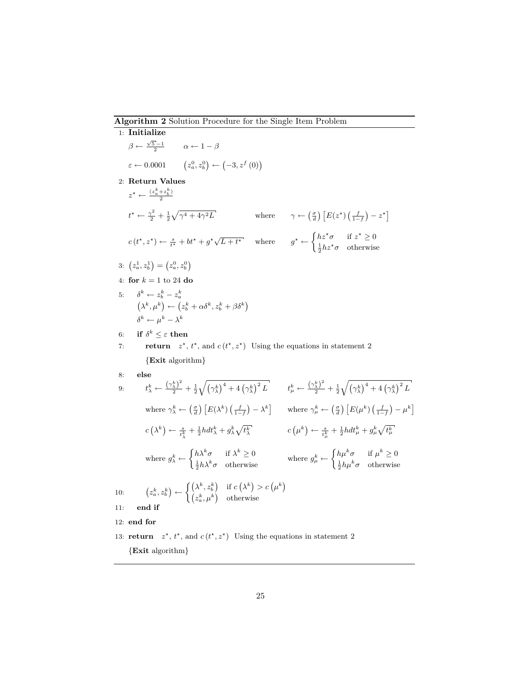#### <span id="page-25-0"></span>**Algorithm 2** Solution Procedure for the Single Item Problem

1: **Initialize**  $β \leftarrow \frac{\sqrt{5}-1}{2}$ *α* ← 1 − *β*  $\varepsilon \leftarrow 0.0001$   $(z_a^0, z_b^0) \leftarrow (-3, z^f(0))$ 2: **Return Values**  $z^* \leftarrow \frac{(z_a^k + z_b^k)}{2}$ 2  $t^* \leftarrow \frac{\gamma^2}{2} + \frac{1}{2}\sqrt{\gamma^4 + 4\gamma}$  $\mathcal{F}L$  where  $\gamma \leftarrow \left(\frac{\sigma}{d}\right)\left[E(z^*)\left(\frac{f}{1-f}\right)-z^*\right]$  $c(t^*, z^*) \leftarrow \frac{s}{t^*} + bt^* + g^* \sqrt{L+t^*}$  where  $g^* \leftarrow \begin{cases} h z^* \sigma & \text{if } z^* \geq 0 \\ 1, & \text{otherwise} \end{cases}$  $\frac{1}{2}hz^{\star}\sigma$  otherwise 3:  $(z_a^1, z_b^1) = (z_a^0, z_b^0)$ 4: **for** *k* = 1 to 24 **do** 5:  $\delta^k \leftarrow z_b^k - z_a^k$ *a*  $(\lambda^k, \mu^k) \leftarrow (z_b^k + \alpha \delta^k, z_b^k + \beta \delta^k)$  $\delta^k \leftarrow \mu^k - \lambda^k$ 6: **if**  $\delta^k \leq \varepsilon$  **then** 7: **return**  $z^*$ ,  $t^*$ , and  $c(t^*, z^*)$  Using the equations in statement 2 *{***Exit** algorithm*}* 8: **else** 9:  $t_\lambda^k \leftarrow \frac{\left(\gamma_\lambda^k\right)^2}{2} + \frac{1}{2}\sqrt{\left(\gamma_\lambda^k\right)^4 + 4\left(\gamma_\lambda^k\right)^2L}$   $t_\mu^k \leftarrow \frac{\left(\gamma_\lambda^k\right)^2}{2} + \frac{1}{2}\sqrt{\left(\gamma_\lambda^k\right)^4 + 4\left(\gamma_\lambda^k\right)^2L}$ where  $\gamma_{\lambda}^{k} \leftarrow \left(\frac{\sigma}{d}\right) \left[E(\lambda^{k})\left(\frac{f}{1-f}\right) - \lambda^{k}\right]$  where  $\gamma_{\mu}^{k} \leftarrow \left(\frac{\sigma}{d}\right) \left[E(\mu^{k})\left(\frac{f}{1-f}\right) - \mu^{k}\right]$  $c\left(\lambda^k\right) \leftarrow \frac{s}{t_{\lambda}^k} + \frac{1}{2} h dt_{\lambda}^k + g_{\lambda}^k \sqrt{t_{\lambda}^k}$   $c\left(\mu^k\right) \leftarrow \frac{s}{t_{\mu}^k} + \frac{1}{2} h dt_{\mu}^k + g_{\mu}^k \sqrt{t_{\mu}^k}$ where  $g_{\lambda}^{k} \leftarrow \begin{cases} h \lambda^{k} \sigma & \text{if } \lambda^{k} \geq 0 \\ 1 + h^{k} & \text{if } h \geq 0 \end{cases}$  $h\lambda^k \sigma$  if  $\lambda^k \ge 0$ <br>
where  $g^k_\mu \leftarrow \begin{cases} h\mu^k \sigma & \text{if } \mu^k \ge 0 \\ \frac{1}{2}h\mu^k \sigma & \text{otherwise} \end{cases}$  $\frac{1}{2}h\mu^k\sigma$  otherwise 10:  $z_a^k, z_b^k$   $\rangle \leftarrow \begin{cases} (\lambda^k, z_b^k) & \text{if } c(\lambda^k) > c(\mu^k) \\ (k, k, k) & \text{otherwise} \end{cases}$  $(z_a^k, \mu^k)$  otherwise 11: **end if** 12: **end for** 13: **return**  $z^*$ ,  $t^*$ , and  $c(t^*, z^*)$  Using the equations in statement 2

*{***Exit** algorithm*}*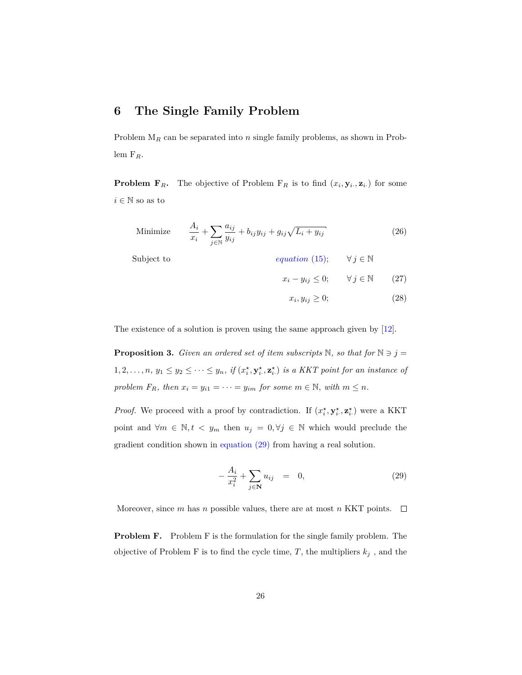# <span id="page-26-0"></span>**6 The Single Family Problem**

Problem M*<sup>R</sup>* can be separated into *n* single family problems, as shown in Problem F*R*.

**Problem F**<sub>*R*</sub>**.** The objective of Problem F<sub>*R*</sub> is to find  $(x_i, y_i, z_i)$  for some  $i \in \mathbb{N}$  so as to

Minimize 
$$
\frac{A_i}{x_i} + \sum_{j \in \mathbb{N}} \frac{a_{ij}}{y_{ij}} + b_{ij} y_{ij} + g_{ij} \sqrt{L_i + y_{ij}}
$$
(26)

Subject to *[equation](#page-21-1)* (15);  $\forall j \in \mathbb{N}$ 

- <span id="page-26-2"></span> $x_i - y_{ij} \leq 0; \quad \forall j \in \mathbb{N}$  (27)
	- $x_i, y_{ij} \ge 0;$  (28)

The existence of a solution is proven using the same approach given by [\[12\]](#page-39-4).

**Proposition 3.** *Given an ordered set of item subscripts*  $\mathbb{N}$ *, so that for*  $\mathbb{N} \ni j =$  $1, 2, \ldots, n, y_1 \leq y_2 \leq \cdots \leq y_n$ , if  $(x_i^{\star}, y_i^{\star}, z_i^{\star})$  is a KKT point for an instance of *problem*  $F_R$ *, then*  $x_i = y_{i1} = \cdots = y_{im}$  *for some*  $m \in \mathbb{N}$ *, with*  $m \leq n$ *.* 

*Proof.* We proceed with a proof by contradiction. If  $(x_i^*, y_i^*, z_i^*)$  were a KKT point and  $\forall m \in \mathbb{N}, t \leq y_m$  then  $u_j = 0, \forall j \in \mathbb{N}$  which would preclude the gradient condition shown in [equation \(29\)](#page-26-1) from having a real solution.

<span id="page-26-1"></span>
$$
-\frac{A_i}{x_i^2} + \sum_{j \in \mathbf{N}} u_{ij} = 0, \qquad (29)
$$

Moreover, since *m* has *n* possible values, there are at most *n* KKT points.  $\Box$ 

**Problem F.** Problem F is the formulation for the single family problem. The objective of Problem F is to find the cycle time,  $T$ , the multipliers  $k_j$ , and the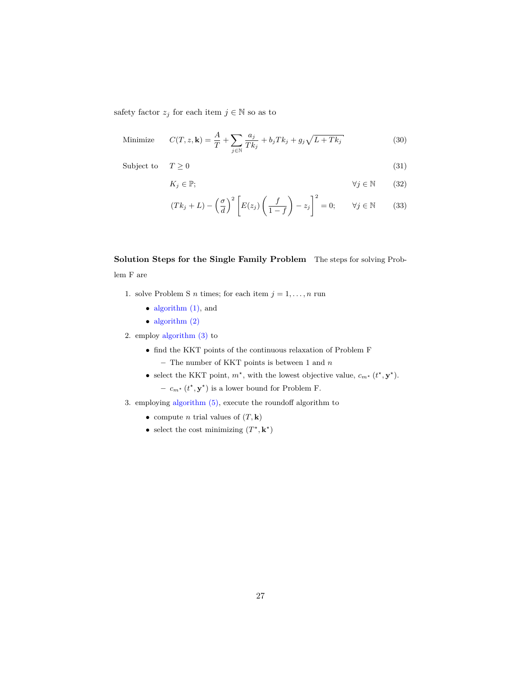safety factor  $z_j$  for each item  $j \in \mathbb{N}$  so as to

Minimize 
$$
C(T, z, \mathbf{k}) = \frac{A}{T} + \sum_{j \in \mathbb{N}} \frac{a_j}{Tk_j} + b_j Tk_j + g_j \sqrt{L + Tk_j}
$$
 (30)

Subject to  $T \geq 0$  (31)

$$
K_j \in \mathbb{P}; \qquad \qquad \forall j \in \mathbb{N} \qquad (32)
$$

$$
(Tk_j + L) - \left(\frac{\sigma}{d}\right)^2 \left[E(z_j)\left(\frac{f}{1-f}\right) - z_j\right]^2 = 0; \qquad \forall j \in \mathbb{N} \tag{33}
$$

# **Solution Steps for the Single Family Problem** The steps for solving Problem F are

- 1. solve Problem S *n* times; for each item  $j = 1, \ldots, n$  run
	- algorithm  $(1)$ , and
	- [algorithm \(2\)](#page-25-0)

2. employ [algorithm \(3\)](#page-28-0) to

- *•* find the KKT points of the continuous relaxation of Problem F
	- **–** The number of KKT points is between 1 and *n*
- select the KKT point,  $m^*$ , with the lowest objective value,  $c_{m^*}$  ( $t^*$ ,  $\mathbf{y}^*$ ).  $-c_{m^*}(t^*, \mathbf{y}^*)$  is a lower bound for Problem F.
- 3. employing [algorithm \(5\),](#page-30-0) execute the roundoff algorithm to
	- compute *n* trial values of  $(T, \mathbf{k})$
	- select the cost minimizing  $(T^*, \mathbf{k}^*)$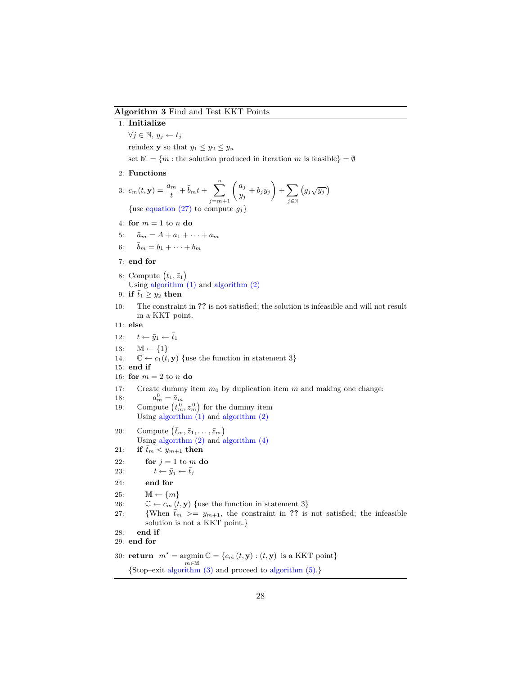#### <span id="page-28-0"></span>**Algorithm 3** Find and Test KKT Points

#### 1: **Initialize**

*∀j ∈* N*, y<sup>j</sup> ← t<sup>j</sup>*

reindex **y** so that  $y_1 \leq y_2 \leq y_n$ 

set  $\mathbb{M} = \{m : \text{the solution produced in iteration } m \text{ is feasible}\} = \emptyset$ 

2: **Functions**

3: 
$$
c_m(t, \mathbf{y}) = \frac{\bar{a}_m}{t} + \bar{b}_m t + \sum_{j=m+1}^n \left(\frac{a_j}{y_j} + b_j y_j\right) + \sum_{j \in \mathbb{N}} \left(g_j \sqrt{y_j}\right)
$$
  
\n{use equation (27) to compute  $g_j$ }

4: **for**  $m = 1$  to  $n$  **do** 

- 5:  $\bar{a}_m = A + a_1 + \cdots + a_m$
- 6:  $\bar{b}_m = b_1 + \cdots + b_m$

#### 7: **end for**

8: Compute  $(\bar{t}_1, \bar{z}_1)$ Using algorithm  $(1)$  and algorithm  $(2)$ 

- 9: **if**  $\bar{t}_1 \geq y_2$  **then**
- 10: The constraint in **??** is not satisfied; the solution is infeasible and will not result in a KKT point.
- 11: **else**
- 12:  $t \leftarrow \bar{y}_1 \leftarrow \bar{t}_1$
- 13: M *← {*1*}*
- 14:  $\mathbb{C} \leftarrow c_1(t, \mathbf{y})$  {use the function in statement 3}

15: **end if**

```
16: for m = 2 to n do
```
17: Create dummy item *m*<sup>0</sup> by duplication item *m* and making one change:

```
18: a
                                _{m}^{0} = \bar{a}_{m}
```
- 19: Compute  $(t_m^0, z_m^0)$  for the dummy item Using algorithm  $(1)$  and algorithm  $(2)$
- 20: Compute  $(\bar{t}_m, \bar{z}_1, \ldots, \bar{z}_m)$ Using [algorithm \(2\)](#page-25-0) and [algorithm \(4\)](#page-29-0)
- 21: **if**  $\bar{t}_m < y_{m+1}$  then
- 22: **for**  $j = 1$  to  $m$  **do**
- 23:  $t \leftarrow \bar{y}_j \leftarrow \bar{t}_j$
- 24: **end for**
- 25:  $\mathbb{M} \leftarrow \{m\}$
- 26:  $\mathbb{C} \leftarrow c_m(t, \mathbf{y})$  {use the function in statement 3}
- 27: *{When*  $\bar{t}_m$  *>=*  $y_{m+1}$ *, the constraint in ?? is not satisfied; the infeasible* solution is not a KKT point.*}*
- 28: **end if**

```
29: end for
```
30: **return**  $m^* = \argmin \mathbb{C} = \{c_m(t, \mathbf{y}) : (t, \mathbf{y}) \text{ is a KKT point}\}$ *m∈*M *{*Stop–exit [algorithm \(3\)](#page-28-0) and proceed to [algorithm \(5\).](#page-30-0)*}*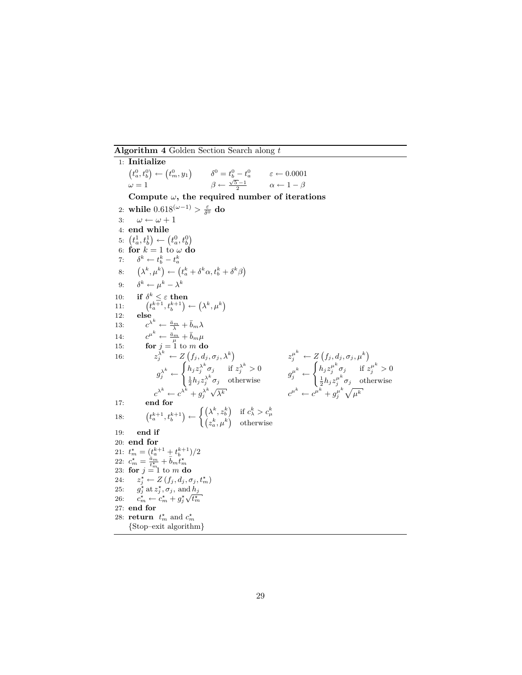<span id="page-29-0"></span>**Algorithm 4** Golden Section Search along *t*

1: **Initialize**  $(t_a^0, t_b^0) \leftarrow (t_m^0, y_1)$  $\delta^0 = t_b^0 - t_a^0$  $\varepsilon \leftarrow 0.0001$  $\omega = 1$  *β* ←  $\frac{\sqrt{5}-1}{2}$  $\alpha \leftarrow 1 - \beta$ **Compute** *ω***, the required number of iterations** 2: while  $0.618^{(\omega-1)} > \frac{\varepsilon}{\delta^0}$  do 3:  $\omega \leftarrow \omega + 1$ 4: **end while** 5:  $(t_a^1, t_b^1) \leftarrow (t_a^0, t_b^0)$ 6: **for**  $k = 1$  to  $\omega$  **do** 7:  $\delta^k \leftarrow t_b^k - t_a^k$ 8:  $\left(\lambda^k, \mu^k\right) \leftarrow \left(t_a^k + \delta^k \alpha, t_b^k + \delta^k \beta\right)$ 9: *δ*  $\mu^k \leftarrow \mu^k - \lambda^k$ 10: **if**  $\delta^k \leq \varepsilon$  **then** 11:  $\left(t_a^{k+1}, t_b^{k+1}\right) \leftarrow \left(\lambda^k, \mu^k\right)$ 12: **else** 13:  $c^{\lambda^k} \leftarrow \frac{\bar{a}_m}{\lambda} + \bar{b}_m \lambda$ 14:  $c^{\mu^k} \leftarrow \frac{\bar{a}_m}{\mu} + \bar{b}_m \mu$ 15: **for**  $j = 1$  to  $m$  **do** 16:  $z_j^{\lambda^k} \leftarrow Z(f_j, d_j, \sigma_j, \lambda^k)$   $z_j^{\mu^k} \leftarrow Z(f_j, d_j, \sigma_j, \mu^k)$  $g_j^{\lambda^k} \leftarrow$  $\int h_j z_j^{\lambda^k} \sigma_j$  if  $z_j^{\lambda^k} > 0$  $\frac{1}{2} h_j z_j^{\lambda^k} \sigma_j$  otherwise  $g_j^{\mu^k} \leftarrow$  $\int h_j z_j^{\mu^k} \sigma_j$  if  $z_j^{\mu^k} > 0$  $\frac{1}{2}h_jz_j^{\mu^k}\sigma_j$  otherwise  $c^{\lambda^k} \leftarrow c^{\lambda^k} + g_j^{\lambda^k}$  $c^{\mu^k} \leftarrow c^{\mu^k} + g_i^{\mu^k}$  $\frac{\mu^k}{j} \sqrt{\mu^k}$ 17: **end for** 18:  $\{t^{k+1}_a, t^{k+1}_b\} \leftarrow \begin{cases} \left(\lambda^k, z^k_b\right) & \text{if } c^k_\lambda > c^k_\mu \ \left(z^k_a, \mu^k\right) & \text{otherwise} \end{cases}$ 19: **end if** 20: **end for** 21:  $t_m^* = \left(\frac{t_a^{k+1}}{a} + \frac{t_b^{k+1}}{b}\right)/2$ 22:  $c_m^* = \frac{\bar{a}_m}{t_m^*} + \bar{b}_m t_m^*$ <br>23: **for**  $j = 1$  to *m* **do** 24:  $z_j^* \leftarrow Z(f_j, d_j, \sigma_j, t_m^*)$ 25:  $g_j^*$  at  $z_j^*, \sigma_j$ , and  $h_j$ 26:  $c_m^* \leftarrow c_m^* + g_j^*$  $\frac{u_1}{\sqrt{t_m^{\star}}}$ 27: **end for** 28: **return**  $t_m^*$  and  $c_m^*$ *{*Stop–exit algorithm*}*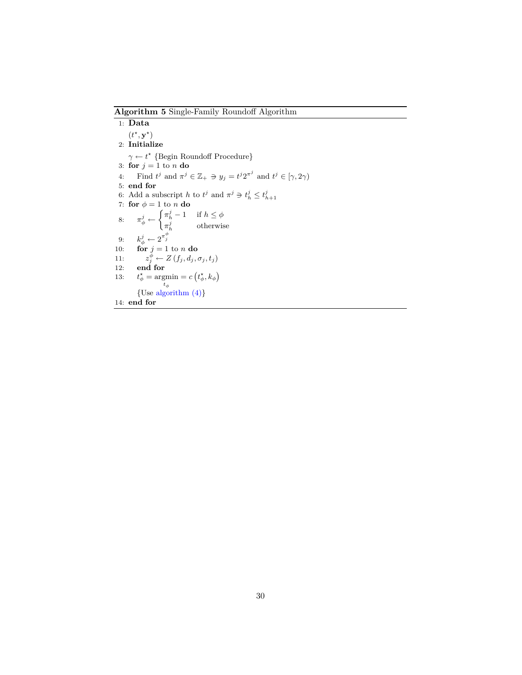<span id="page-30-0"></span>**Algorithm 5** Single-Family Roundoff Algorithm

1: **Data**  $(t^{\star}, \mathbf{y}^{\star})$ 2: **Initialize** *γ* ← *t*<sup>\*</sup> {Begin Roundoff Procedure} 3: **for**  $j = 1$  to  $n$  **do** 4: Find  $t^j$  and  $\pi^j \in \mathbb{Z}_+ \ni y_j = t^j 2^{\pi^j}$  and  $t^j \in [\gamma, 2\gamma)$ 5: **end for** 6: Add a subscript *h* to  $t^j$  and  $\pi^j \ni t^j_h \leq t^j_{h+1}$ 7: **for**  $\phi = 1$  to  $\overline{n}$  **do** 8:  $\pi^j_\phi \leftarrow \begin{cases} \pi^j_h - 1 & \text{if } h \leq \phi \\ -j & \text{otherwise} \end{cases}$  $\pi_h^j$  otherwise 9:  $k_{\phi}^{j} \leftarrow 2^{\pi_{j}^{\phi}}$ 10: **for**  $j = 1$  to *n* **do** 11:  $z_j^{\phi} \leftarrow Z(f_j, d_j, \sigma_j, t_j)$ 12: **end for** 13: *t*  $\frac{\star}{\phi} = \operatorname*{argmin}_{t_{\phi}}$  $= c(t^*_{\phi}, k_{\phi})$ *{*Use [algorithm \(4\)](#page-29-0)*}* 14: **end for**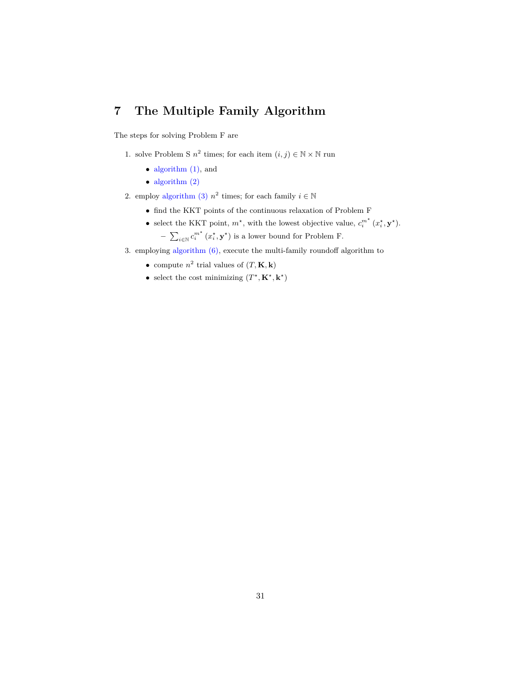# <span id="page-31-0"></span>**7 The Multiple Family Algorithm**

The steps for solving Problem F are

- 1. solve Problem S  $n^2$  times; for each item  $(i, j) \in \mathbb{N} \times \mathbb{N}$  run
	- algorithm  $(1)$ , and
	- *•* [algorithm \(2\)](#page-25-0)
- 2. employ [algorithm \(3\)](#page-28-0)  $n^2$  times; for each family  $i \in \mathbb{N}$ 
	- *•* find the KKT points of the continuous relaxation of Problem F
	- select the KKT point,  $m^*$ , with the lowest objective value,  $c_i^{m^*}(x_i^*, \mathbf{y}^*)$ . −  $\sum_{i \in \mathbb{N}} c_i^{m^*} (x_i^*, \mathbf{y}^*)$  is a lower bound for Problem F.
- 3. employing [algorithm \(6\),](#page-32-0) execute the multi-family roundoff algorithm to
	- compute  $n^2$  trial values of  $(T, \mathbf{K}, \mathbf{k})$
	- select the cost minimizing  $(T^*, \mathbf{K}^*, \mathbf{k}^*)$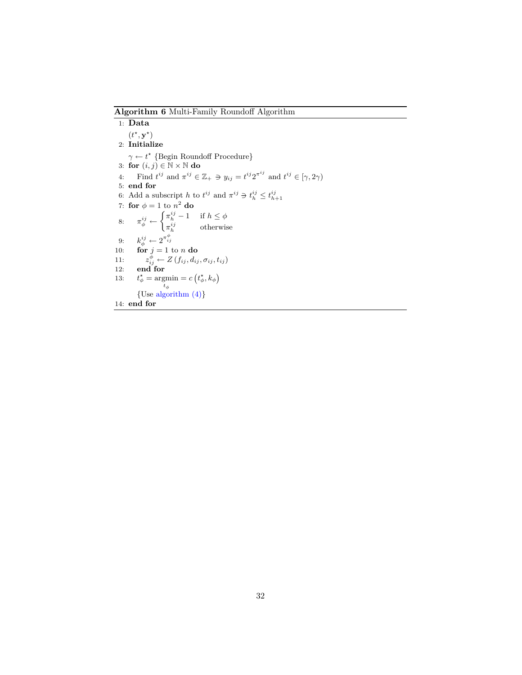<span id="page-32-0"></span>**Algorithm 6** Multi-Family Roundoff Algorithm

1: **Data**  $(t^{\star}, \mathbf{y}^{\star})$ 2: **Initialize** *γ* ← *t*<sup>\*</sup> {Begin Roundoff Procedure} 3: **for** (*i, j*) *∈* N *×* N **do** 4: Find  $t^{ij}$  and  $\pi^{ij} \in \mathbb{Z}_+ \ni y_{ij} = t^{ij} 2^{\pi^{ij}}$  and  $t^{ij} \in [\gamma, 2\gamma)$ 5: **end for** 6: Add a subscript *h* to  $t^{ij}$  and  $\pi^{ij} \ni t^{ij}_h \leq t^{ij}_{h+1}$ 7: **for**  $\phi = 1$  to  $n^2$  **do** 8:  $\pi_{\phi}^{ij} \leftarrow \begin{cases} \pi_{h}^{ij} - 1 & \text{if } h \leq \phi \\ \pi_{i}^{ij} & \text{otherwise} \end{cases}$  $\pi_h^{ij}$  otherwise 9:  $k_{\phi}^{ij} \leftarrow 2^{\pi_{ij}^{\phi}}$ 10: **for**  $j = 1$  to *n* **do** 11:  $z_{ij}^{\phi} \leftarrow Z(f_{ij}, d_{ij}, \sigma_{ij}, t_{ij})$ 12: **end for** 13: *t*  $\frac{\star}{\phi} = \operatorname*{argmin}_{t_{\phi}}$  $= c(t^*_{\phi}, k_{\phi})$ *{*Use [algorithm \(4\)](#page-29-0)*}* 14: **end for**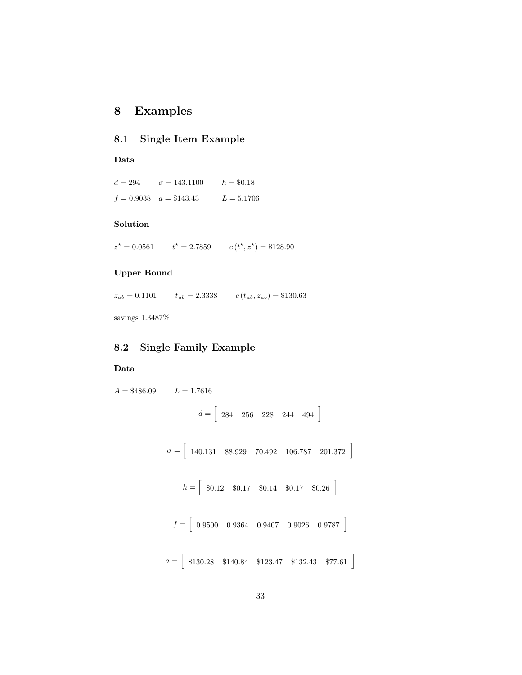# <span id="page-33-0"></span>**8 Examples**

### **8.1 Single Item Example**

#### **Data**

 $d = 294$   $\sigma = 143.1100$   $h = $0.18$  $f = 0.9038$   $a = $143.43$   $L = 5.1706$ 

#### **Solution**

 $z^* = 0.0561$  *t*  $c(t^*, z^*) = $128.90$ 

## **Upper Bound**

 $z_{ub} = 0.1101$   $t_{ub} = 2.3338$   $c(t_{ub}, z_{ub}) = $130.63$ 

savings 1*.*3487%

# **8.2 Single Family Example**

#### **Data**

```
A = $486.09 L = 1.7616d = \begin{bmatrix} 284 & 256 & 228 & 244 & 494 \end{bmatrix}\sigma = \begin{bmatrix} 140.131 & 88.929 & 70.492 & 106.787 & 201.372 \end{bmatrix}h = \begin{bmatrix} 1 \\ 0.12 \\ 0.17 \\ 0.14 \\ 0.14 \\ 0.17 \\ 0.01 \end{bmatrix}f = \begin{bmatrix} 0.9500 & 0.9364 & 0.9407 & 0.9026 & 0.9787 \end{bmatrix}a = \begin{bmatrix} \$130.28 & \$140.84 & \$123.47 & \$132.43 & \$77.61 \end{bmatrix}
```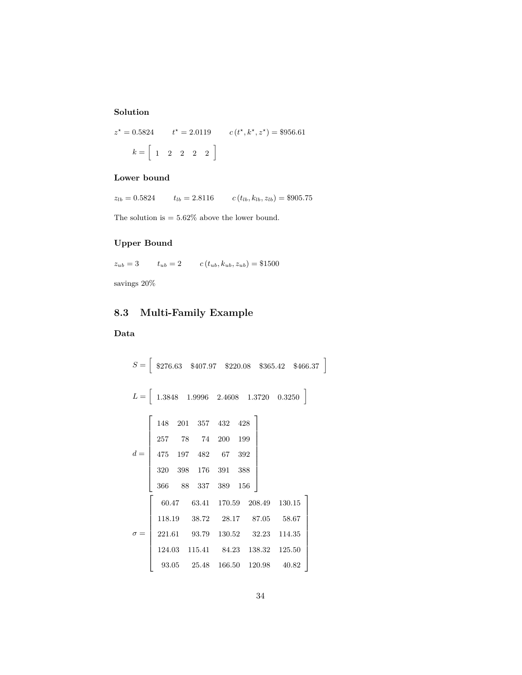# **Solution**

$$
z^* = 0.5824 \qquad t^* = 2.0119 \qquad c(t^*, k^*, z^*) = $956.61
$$

$$
k = \begin{bmatrix} 1 & 2 & 2 & 2 & 2 \end{bmatrix}
$$

## **Lower bound**

 $z_{lb} = 0.5824$   $t_{lb} = 2.8116$   $c(t_{lb}, k_{lb}, z_{lb}) = $905.75$ 

The solution is  $=5.62\%$  above the lower bound.

# **Upper Bound**

$$
z_{ub} = 3 \qquad t_{ub} = 2 \qquad c(t_{ub}, k_{ub}, z_{ub}) = \$1500
$$

savings 20%

# **8.3 Multi-Family Example**

# **Data**

$$
S = \begin{bmatrix} 8276.63 & 8407.97 & 8220.08 & 8365.42 & 8466.37 \end{bmatrix}
$$
  
\n
$$
L = \begin{bmatrix} 1.3848 & 1.9996 & 2.4608 & 1.3720 & 0.3250 \end{bmatrix}
$$
  
\n
$$
d = \begin{bmatrix} 148 & 201 & 357 & 432 & 428 \ 257 & 78 & 74 & 200 & 199 \ 475 & 197 & 482 & 67 & 392 \ 320 & 398 & 176 & 391 & 388 \ 366 & 88 & 337 & 389 & 156 \end{bmatrix}
$$
  
\n
$$
60.47 \qquad 63.41 \qquad 170.59 \qquad 208.49 \qquad 130.15
$$
  
\n
$$
118.19 \qquad 38.72 \qquad 28.17 \qquad 87.05 \qquad 58.67
$$
  
\n
$$
221.61 \qquad 93.79 \qquad 130.52 \qquad 32.23 \qquad 114.35
$$
  
\n
$$
124.03 \qquad 115.41 \qquad 84.23 \qquad 138.32 \qquad 125.50
$$
  
\n
$$
93.05 \qquad 25.48 \qquad 166.50 \qquad 120.98 \qquad 40.82
$$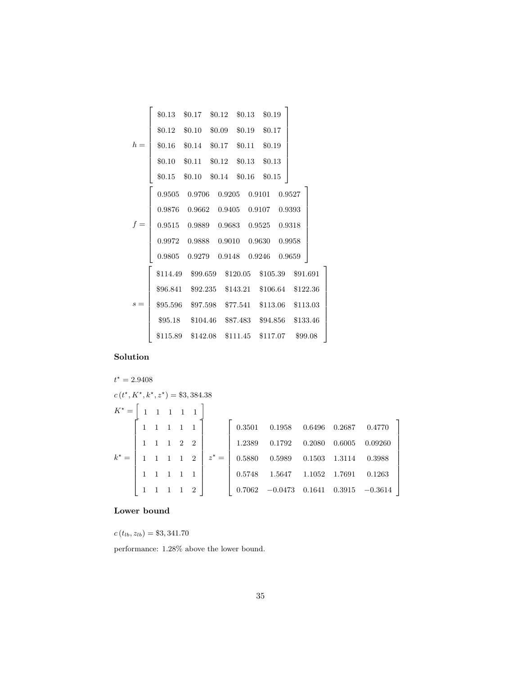|       | \$0.13\$ | $$0.17$ $$0.12$ $$0.13$ $$0.19$                              |                                    |        |  |
|-------|----------|--------------------------------------------------------------|------------------------------------|--------|--|
|       | \$0.12   | $$0.10$ $$0.09$ $$0.19$ $$0.17$                              |                                    |        |  |
| $h =$ |          | \$0.16 \$0.14 \$0.17 \$0.11 \$0.19                           |                                    |        |  |
|       |          | \$0.10 \$0.11 \$0.12 \$0.13 \$0.13                           |                                    |        |  |
|       | $\$0.15$ | $$0.10$ $$0.14$ $$0.16$                                      |                                    | \$0.15 |  |
|       |          | $0.9505 \quad 0.9706 \quad 0.9205 \quad 0.9101 \quad 0.9527$ |                                    |        |  |
|       |          | $0.9876$ $0.9662$ $0.9405$ $0.9107$ $0.9393$                 |                                    |        |  |
|       |          | $0.9515$ $0.9889$ $0.9683$ $0.9525$ $0.9318$                 |                                    |        |  |
|       |          | 0.9972 0.9888 0.9010 0.9630 0.9958                           |                                    |        |  |
|       | 0.9805   | 0.9279  0.9148  0.9246                                       |                                    | 0.9659 |  |
|       |          | \$114.49 \$99.659 \$120.05 \$105.39 \$91.691                 |                                    |        |  |
|       |          | \$96.841 \$92.235 \$143.21 \$106.64 \$122.36                 |                                    |        |  |
| $s =$ |          | \$95.596 \$97.598 \$77.541 \$113.06 \$113.03                 |                                    |        |  |
|       |          | \$95.18 \$104.46 \$87.483 \$94.856 \$133.46                  |                                    |        |  |
|       | \$115.89 |                                                              | \$142.08 \$111.45 \$117.07 \$99.08 |        |  |
|       |          |                                                              |                                    |        |  |

# **Solution**

#### $t^* = 2.9408$  $c(t^*, K^*, k^*, z^*) = $3,384.38$  $K^* = \left[$  $\begin{array}{ccccccccc} 1 & 1 & 1 & 1 & 1 & \end{array}$  $k^* =$  $\lceil$  $\begin{array}{c} \begin{array}{c} \begin{array}{c} \end{array} \\ \begin{array}{c} \end{array} \end{array} \end{array}$  $\begin{array}{|ccc|} \hline 1 & 1 & 1 & 1 & 2 \end{array}$ 1 1 1 1 1 1 1 1 2 2 1 1 1 1 2 1 1 1 1 1 1 *z ?* =  $\lceil$  0*.*3501 0*.*1958 0*.*6496 0*.*2687 0*.*4770 1*.*2389 0*.*1792 0*.*2080 0*.*6005 0*.*09260 0*.*5880 0*.*5989 0*.*1503 1*.*3114 0*.*3988 0*.*5748 1*.*5647 1*.*1052 1*.*7691 0*.*1263 0*.*7062 *−*0*.*0473 0*.*1641 0*.*3915 *−*0*.*3614

1  $\mathbf{I}$  $\mathbf{I}$  $\mathbf{I}$  $\mathbf{I}$  $\overline{1}$  $\overline{1}$  $\overline{1}$  $\overline{1}$  $\overline{1}$  $\mathbf{I}$ 

> 1  $\overline{1}$  $\mathbf{I}$  $\mathbf{I}$  $\mathbf{I}$  $\overline{1}$  $\overline{1}$  $\overline{1}$  $\overline{1}$  $\overline{1}$  $\overline{1}$

#### **Lower bound**

 $c(t_{lb}, z_{lb}) = $3,341.70$ 

performance: 1*.*28% above the lower bound.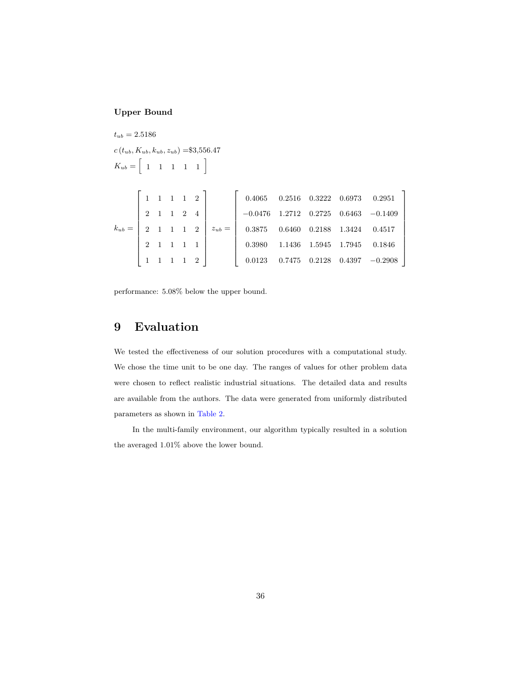## **Upper Bound**

 $t_{ub} = 2.5186$  $c(t_{ub}, K_{ub}, k_{ub}, z_{ub}) = $3,556.47$  $K_{ub} = \begin{bmatrix} 1 & 1 & 1 & 1 & 1 \end{bmatrix}$  $k_{ub} =$  $\lceil$  1 1 1 1 2 2 1 1 2 4 2 1 1 1 2 2 1 1 1 1 1 1 1 1 2 1  $z_{ub} =$  $\lceil$  0*.*4065 0*.*2516 0*.*3222 0*.*6973 0*.*2951 *−*0*.*0476 1*.*2712 0*.*2725 0*.*6463 *−*0*.*1409 0*.*3875 0*.*6460 0*.*2188 1*.*3424 0*.*4517 0*.*3980 1*.*1436 1*.*5945 1*.*7945 0*.*1846 0*.*0123 0*.*7475 0*.*2128 0*.*4397 *−*0*.*2908

1  $\overline{1}$  $\overline{1}$  $\overline{1}$  $\overline{1}$  $\overline{1}$  $\overline{1}$  $\overline{1}$  $\mathbf{I}$  $\mathbf{I}$  $\overline{1}$ 

performance: 5*.*08% below the upper bound.

# <span id="page-36-0"></span>**9 Evaluation**

We tested the effectiveness of our solution procedures with a computational study. We chose the time unit to be one day. The ranges of values for other problem data were chosen to reflect realistic industrial situations. The detailed data and results are available from the authors. The data were generated from uniformly distributed parameters as shown in [Table 2.](#page-37-0)

In the multi-family environment, our algorithm typically resulted in a solution the averaged 1.01% above the lower bound.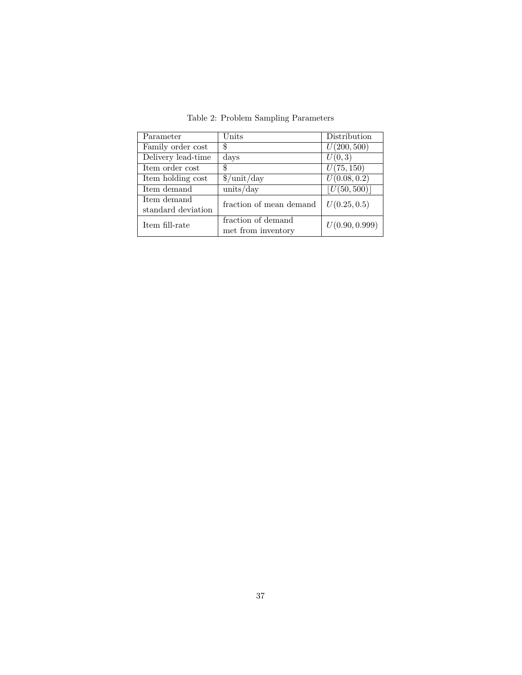| Parameter                         | $\rm Units$                              | Distribution   |
|-----------------------------------|------------------------------------------|----------------|
| Family order cost                 | \$                                       | U(200, 500)    |
| Delivery lead-time                | days                                     | U(0,3)         |
| Item order cost                   | \$                                       | U(75, 150)     |
| Item holding cost                 | $\gamma$ unit/day                        | U(0.08, 0.2)   |
| Item demand                       | units/day                                | U(50, 500)     |
| Item demand<br>standard deviation | fraction of mean demand                  | U(0.25, 0.5)   |
| Item fill-rate                    | fraction of demand<br>met from inventory | U(0.90, 0.999) |

<span id="page-37-0"></span>Table 2: Problem Sampling Parameters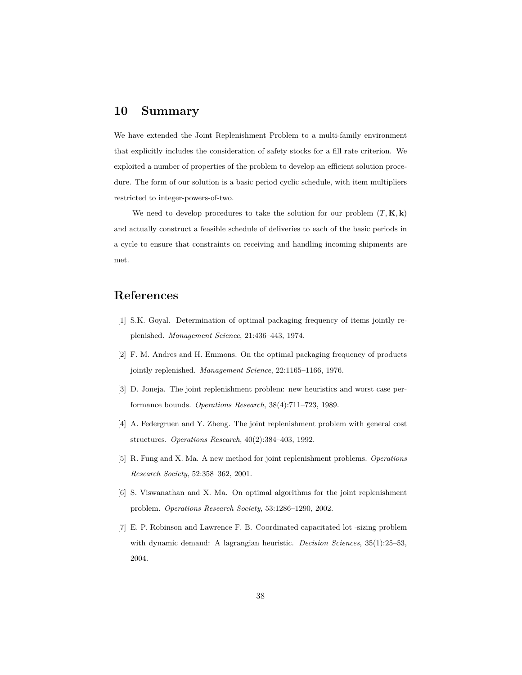# <span id="page-38-0"></span>**10 Summary**

We have extended the Joint Replenishment Problem to a multi-family environment that explicitly includes the consideration of safety stocks for a fill rate criterion. We exploited a number of properties of the problem to develop an efficient solution procedure. The form of our solution is a basic period cyclic schedule, with item multipliers restricted to integer-powers-of-two.

We need to develop procedures to take the solution for our problem  $(T, \mathbf{K}, \mathbf{k})$ and actually construct a feasible schedule of deliveries to each of the basic periods in a cycle to ensure that constraints on receiving and handling incoming shipments are met.

# **References**

- <span id="page-38-1"></span>[1] S.K. Goyal. Determination of optimal packaging frequency of items jointly replenished. *Management Science*, 21:436–443, 1974.
- <span id="page-38-2"></span>[2] F. M. Andres and H. Emmons. On the optimal packaging frequency of products jointly replenished. *Management Science*, 22:1165–1166, 1976.
- <span id="page-38-3"></span>[3] D. Joneja. The joint replenishment problem: new heuristics and worst case performance bounds. *Operations Research*, 38(4):711–723, 1989.
- <span id="page-38-4"></span>[4] A. Federgruen and Y. Zheng. The joint replenishment problem with general cost structures. *Operations Research*, 40(2):384–403, 1992.
- <span id="page-38-5"></span>[5] R. Fung and X. Ma. A new method for joint replenishment problems. *Operations Research Society*, 52:358–362, 2001.
- <span id="page-38-6"></span>[6] S. Viswanathan and X. Ma. On optimal algorithms for the joint replenishment problem. *Operations Research Society*, 53:1286–1290, 2002.
- <span id="page-38-7"></span>[7] E. P. Robinson and Lawrence F. B. Coordinated capacitated lot -sizing problem with dynamic demand: A lagrangian heuristic. *Decision Sciences*, 35(1):25–53, 2004.